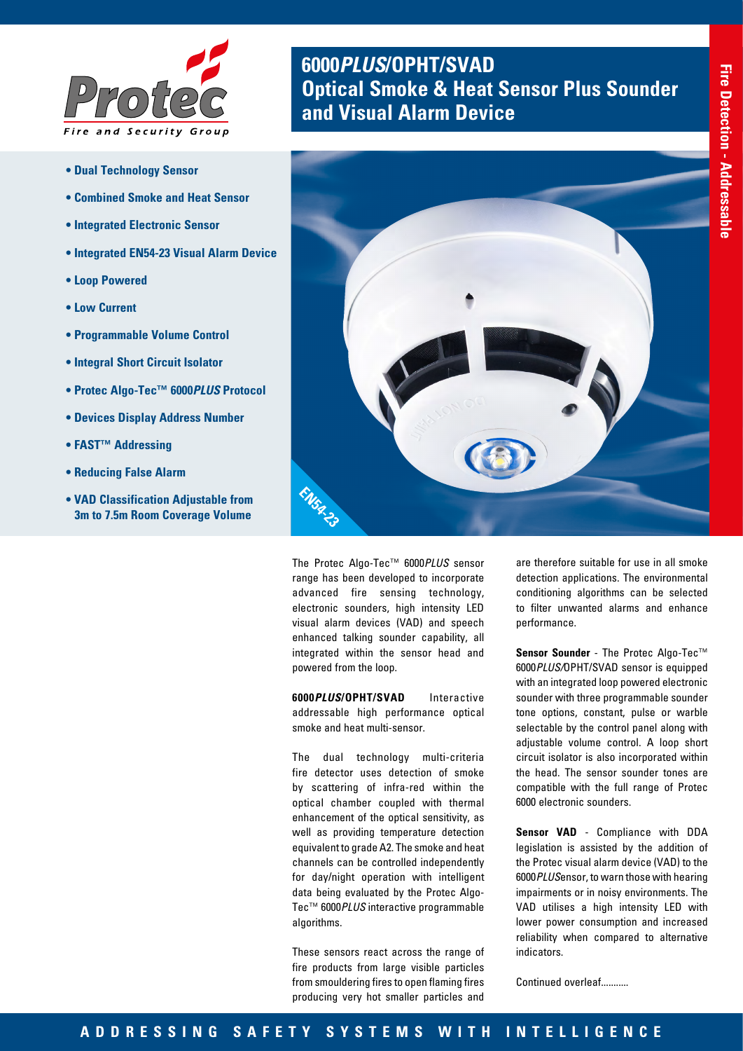

- **Dual Technology Sensor**
- **Combined Smoke and Heat Sensor**
- **Integrated Electronic Sensor**
- **Integrated EN54-23 Visual Alarm Device**
- **Loop Powered**
- **Low Current**
- **Programmable Volume Control**
- **Integral Short Circuit Isolator**
- **Protec Algo-Tec™ 6000***PLUS* **Protocol**
- **Devices Display Address Number**
- **FAST™ Addressing**
- **Reducing False Alarm**
- **VAD Classification Adjustable from 3m to 7.5m Room Coverage Volume**

## **6000***PLUS***/OPHT/SVAD Optical Smoke & Heat Sensor Plus Sounder and Visual Alarm Device**



The Protec Algo-Tec™ 6000*PLUS* sensor range has been developed to incorporate advanced fire sensing technology, electronic sounders, high intensity LED visual alarm devices (VAD) and speech enhanced talking sounder capability, all integrated within the sensor head and powered from the loop.

**6000***PLUS***/OPHT/SVAD** Interactive addressable high performance optical smoke and heat multi-sensor.

The dual technology multi-criteria fire detector uses detection of smoke by scattering of infra-red within the optical chamber coupled with thermal enhancement of the optical sensitivity, as well as providing temperature detection equivalent to grade A2. The smoke and heat channels can be controlled independently for day/night operation with intelligent data being evaluated by the Protec Algo-Tec™ 6000*PLUS* interactive programmable algorithms.

These sensors react across the range of fire products from large visible particles from smouldering fires to open flaming fires producing very hot smaller particles and

are therefore suitable for use in all smoke detection applications. The environmental conditioning algorithms can be selected to filter unwanted alarms and enhance performance.

**Sensor Sounder** - The Protec Algo-Tec™ 6000*PLUS/*OPHT/SVAD sensor is equipped with an integrated loop powered electronic sounder with three programmable sounder tone options, constant, pulse or warble selectable by the control panel along with adjustable volume control. A loop short circuit isolator is also incorporated within the head. The sensor sounder tones are compatible with the full range of Protec 6000 electronic sounders.

**Sensor VAD** - Compliance with DDA legislation is assisted by the addition of the Protec visual alarm device (VAD) to the 6000*PLUS*ensor, to warn those with hearing impairments or in noisy environments. The VAD utilises a high intensity LED with lower power consumption and increased reliability when compared to alternative indicators.

Continued overleaf...........